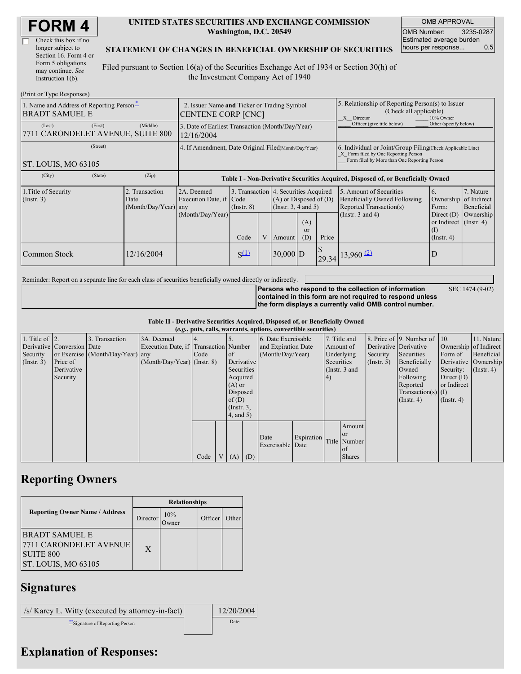| Check this box if no  |
|-----------------------|
| longer subject to     |
| Section 16. Form 4 or |
| Form 5 obligations    |
| may continue. See     |
| Instruction 1(b).     |

#### **UNITED STATES SECURITIES AND EXCHANGE COMMISSION Washington, D.C. 20549**

OMB APPROVAL OMB Number: 3235-0287 Estimated average burden hours per response... 0.5

#### **STATEMENT OF CHANGES IN BENEFICIAL OWNERSHIP OF SECURITIES**

Filed pursuant to Section 16(a) of the Securities Exchange Act of 1934 or Section 30(h) of the Investment Company Act of 1940

| (Print or Type Responses)                                         |                                                                   |                                                |                                                                                  |                                                          |   |                                                        |                                                                                                                                                    |       |                                                                                                                    |                                                                                                |                                      |
|-------------------------------------------------------------------|-------------------------------------------------------------------|------------------------------------------------|----------------------------------------------------------------------------------|----------------------------------------------------------|---|--------------------------------------------------------|----------------------------------------------------------------------------------------------------------------------------------------------------|-------|--------------------------------------------------------------------------------------------------------------------|------------------------------------------------------------------------------------------------|--------------------------------------|
| 1. Name and Address of Reporting Person*<br><b>BRADT SAMUEL E</b> | 2. Issuer Name and Ticker or Trading Symbol<br>CENTENE CORP [CNC] |                                                |                                                                                  |                                                          |   |                                                        | 5. Relationship of Reporting Person(s) to Issuer<br>(Check all applicable)<br>X Director<br>10% Owner                                              |       |                                                                                                                    |                                                                                                |                                      |
| (Last)<br>7711 CARONDELET AVENUE, SUITE 800                       | (First)                                                           | (Middle)                                       | 3. Date of Earliest Transaction (Month/Day/Year)<br>12/16/2004                   |                                                          |   |                                                        |                                                                                                                                                    |       | Officer (give title below)                                                                                         | Other (specify below)                                                                          |                                      |
| ST. LOUIS, MO 63105                                               | 4. If Amendment, Date Original Filed(Month/Day/Year)              |                                                |                                                                                  |                                                          |   |                                                        | 6. Individual or Joint/Group Filing Check Applicable Line)<br>X Form filed by One Reporting Person<br>Form filed by More than One Reporting Person |       |                                                                                                                    |                                                                                                |                                      |
| (City)                                                            | (State)                                                           | (Zip)                                          | Table I - Non-Derivative Securities Acquired, Disposed of, or Beneficially Owned |                                                          |   |                                                        |                                                                                                                                                    |       |                                                                                                                    |                                                                                                |                                      |
| 1. Title of Security<br>(Insert. 3)                               |                                                                   | 2. Transaction<br>Date<br>(Month/Day/Year) any | 2A. Deemed<br>Execution Date, if Code<br>(Month/Day/Year)                        | 3. Transaction 4. Securities Acquired<br>$($ Instr. $8)$ |   | $(A)$ or Disposed of $(D)$<br>(Instr. $3, 4$ and $5$ ) | (A)<br><sub>or</sub>                                                                                                                               |       | 5. Amount of Securities<br><b>Beneficially Owned Following</b><br>Reported Transaction(s)<br>(Instr. $3$ and $4$ ) | 6.<br>Ownership of Indirect<br>Form:<br>Direct $(D)$<br>or Indirect $($ Instr. 4 $)$<br>$($ I) | 7. Nature<br>Beneficial<br>Ownership |
|                                                                   |                                                                   |                                                |                                                                                  | Code                                                     | V | Amount                                                 | (D)                                                                                                                                                | Price |                                                                                                                    | $($ Instr. 4 $)$                                                                               |                                      |
| Common Stock                                                      |                                                                   | 12/16/2004                                     |                                                                                  | $S^{(1)}$                                                |   | $30,000$ D                                             |                                                                                                                                                    |       | $\left  \frac{29.34}{29.34} \right $ 13,960 (2)                                                                    | D                                                                                              |                                      |

Reminder: Report on a separate line for each class of securities beneficially owned directly or indirectly.

SEC 1474 (9-02)

**Persons who respond to the collection of information contained in this form are not required to respond unless the form displays a currently valid OMB control number.**

**Table II - Derivative Securities Acquired, Disposed of, or Beneficially Owned (***e.g.***, puts, calls, warrants, options, convertible securities)**

|                    |                            |                                  |                                       |      |                 |            | (e.g., puts, cans, warrants, options, convertible securities) |            |            |               |                  |                              |                      |                       |
|--------------------|----------------------------|----------------------------------|---------------------------------------|------|-----------------|------------|---------------------------------------------------------------|------------|------------|---------------|------------------|------------------------------|----------------------|-----------------------|
| 1. Title of $ 2$ . |                            | 3. Transaction                   | 3A. Deemed                            |      |                 |            | 6. Date Exercisable                                           |            |            | 7. Title and  |                  | 8. Price of 9. Number of 10. |                      | 11. Nature            |
|                    | Derivative Conversion Date |                                  | Execution Date, if Transaction Number |      |                 |            | and Expiration Date                                           |            |            | Amount of     |                  | Derivative Derivative        |                      | Ownership of Indirect |
| Security           |                            | or Exercise (Month/Day/Year) any |                                       | Code | <sub>of</sub>   |            | (Month/Day/Year)                                              |            |            | Underlying    | Security         | Securities                   | Form of              | Beneficial            |
| (Insert. 3)        | Price of                   |                                  | $(Month/Day/Year)$ (Instr. 8)         |      |                 | Derivative |                                                               |            | Securities |               | $($ Instr. 5 $)$ | Beneficially                 | Derivative Ownership |                       |
|                    | Derivative                 |                                  |                                       |      | Securities      |            |                                                               |            |            | (Instr. 3 and |                  | Owned                        | Security:            | $($ Instr. 4 $)$      |
|                    | Security                   |                                  |                                       |      | Acquired        |            |                                                               |            | (4)        |               |                  | Following                    | Direct $(D)$         |                       |
|                    |                            |                                  |                                       |      | $(A)$ or        |            |                                                               |            |            |               |                  | Reported                     | or Indirect          |                       |
|                    |                            |                                  |                                       |      | Disposed        |            |                                                               |            |            |               |                  | $Transaction(s)$ (I)         |                      |                       |
|                    |                            |                                  |                                       |      | of $(D)$        |            |                                                               |            |            |               |                  | $($ Instr. 4 $)$             | $($ Instr. 4 $)$     |                       |
|                    |                            |                                  |                                       |      | $($ Instr. $3,$ |            |                                                               |            |            |               |                  |                              |                      |                       |
|                    |                            |                                  |                                       |      | (4, and 5)      |            |                                                               |            |            |               |                  |                              |                      |                       |
|                    |                            |                                  |                                       |      |                 |            |                                                               |            |            | Amount        |                  |                              |                      |                       |
|                    |                            |                                  |                                       |      |                 |            | Date                                                          | Expiration |            | <b>or</b>     |                  |                              |                      |                       |
|                    |                            |                                  |                                       |      |                 |            | Exercisable Date                                              |            |            | Title Number  |                  |                              |                      |                       |
|                    |                            |                                  |                                       |      |                 |            |                                                               |            |            | of            |                  |                              |                      |                       |
|                    |                            |                                  |                                       | Code | $V(A)$ (D)      |            |                                                               |            |            | <b>Shares</b> |                  |                              |                      |                       |

# **Reporting Owners**

|                                                                                              | <b>Relationships</b> |              |         |       |  |  |  |
|----------------------------------------------------------------------------------------------|----------------------|--------------|---------|-------|--|--|--|
| <b>Reporting Owner Name / Address</b>                                                        | Director             | 10%<br>Owner | Officer | Other |  |  |  |
| <b>BRADT SAMUEL E</b><br> 7711 CARONDELET AVENUE <br><b>SUITE 800</b><br>ST. LOUIS, MO 63105 | $\mathbf{X}$         |              |         |       |  |  |  |

### **Signatures**

/s/ Karey L. Witty (executed by attorney-in-fact) 12/20/2004 \*\*Signature of Reporting Person Date

# **Explanation of Responses:**